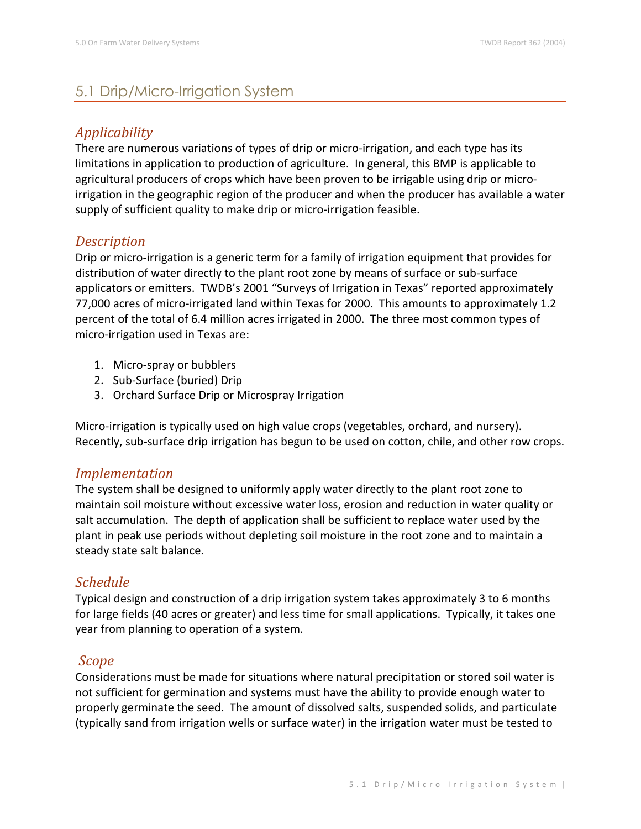# 5.1 Drip/Micro-Irrigation System

## *Applicability*

There are numerous variations of types of drip or micro-irrigation, and each type has its limitations in application to production of agriculture. In general, this BMP is applicable to agricultural producers of crops which have been proven to be irrigable using drip or microirrigation in the geographic region of the producer and when the producer has available a water supply of sufficient quality to make drip or micro-irrigation feasible.

### *Description*

Drip or micro-irrigation is a generic term for a family of irrigation equipment that provides for distribution of water directly to the plant root zone by means of surface or sub-surface applicators or emitters. TWDB's 2001 "Surveys of Irrigation in Texas" reported approximately 77,000 acres of micro-irrigated land within Texas for 2000. This amounts to approximately 1.2 percent of the total of 6.4 million acres irrigated in 2000. The three most common types of micro-irrigation used in Texas are:

- 1. Micro-spray or bubblers
- 2. Sub-Surface (buried) Drip
- 3. Orchard Surface Drip or Microspray Irrigation

Micro-irrigation is typically used on high value crops (vegetables, orchard, and nursery). Recently, sub-surface drip irrigation has begun to be used on cotton, chile, and other row crops.

### *Implementation*

The system shall be designed to uniformly apply water directly to the plant root zone to maintain soil moisture without excessive water loss, erosion and reduction in water quality or salt accumulation. The depth of application shall be sufficient to replace water used by the plant in peak use periods without depleting soil moisture in the root zone and to maintain a steady state salt balance.

### *Schedule*

Typical design and construction of a drip irrigation system takes approximately 3 to 6 months for large fields (40 acres or greater) and less time for small applications. Typically, it takes one year from planning to operation of a system.

# *Scope*

Considerations must be made for situations where natural precipitation or stored soil water is not sufficient for germination and systems must have the ability to provide enough water to properly germinate the seed. The amount of dissolved salts, suspended solids, and particulate (typically sand from irrigation wells or surface water) in the irrigation water must be tested to